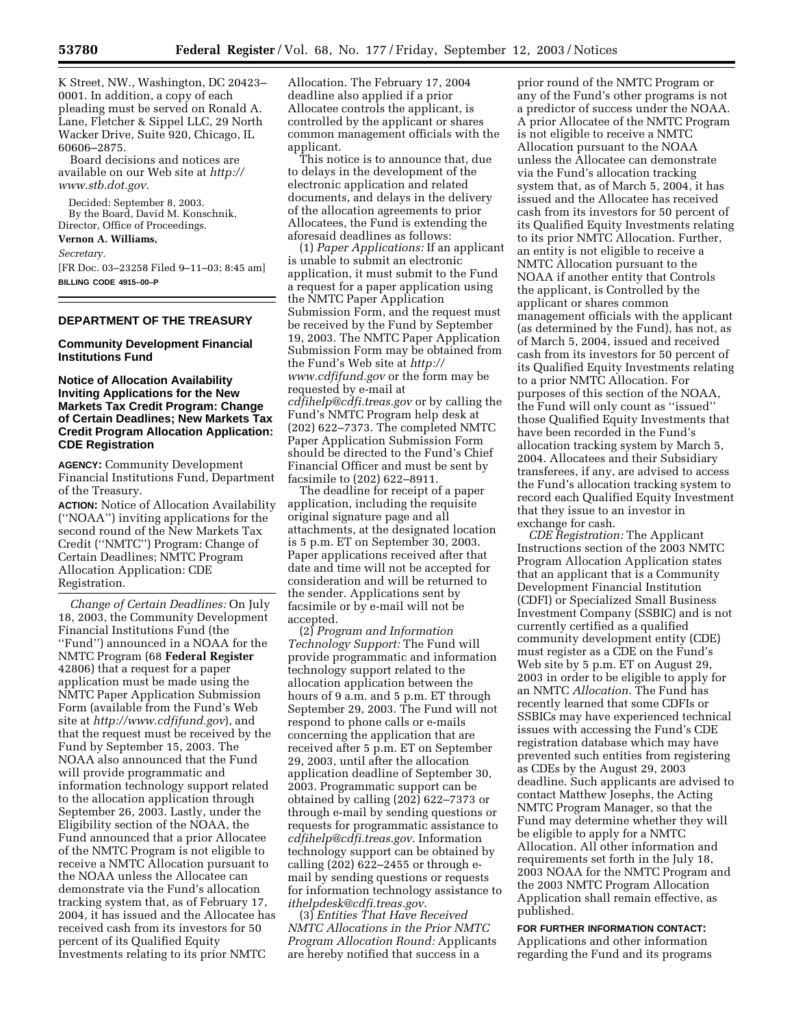K Street, NW., Washington, DC 20423– 0001. In addition, a copy of each pleading must be served on Ronald A. Lane, Fletcher & Sippel LLC, 29 North Wacker Drive, Suite 920, Chicago, IL 60606–2875.

Board decisions and notices are available on our Web site at *http:// www.stb.dot.gov*.

Decided: September 8, 2003. By the Board, David M. Konschnik, Director, Office of Proceedings.

# **Vernon A. Williams,**

*Secretary.*

[FR Doc. 03–23258 Filed 9–11–03; 8:45 am] **BILLING CODE 4915–00–P**

#### **DEPARTMENT OF THE TREASURY**

#### **Community Development Financial Institutions Fund**

### **Notice of Allocation Availability Inviting Applications for the New Markets Tax Credit Program: Change of Certain Deadlines; New Markets Tax Credit Program Allocation Application: CDE Registration**

**AGENCY:** Community Development Financial Institutions Fund, Department of the Treasury.

**ACTION:** Notice of Allocation Availability (''NOAA'') inviting applications for the second round of the New Markets Tax Credit (''NMTC'') Program: Change of Certain Deadlines; NMTC Program Allocation Application: CDE Registration.

*Change of Certain Deadlines:* On July 18, 2003, the Community Development Financial Institutions Fund (the ''Fund'') announced in a NOAA for the NMTC Program (68 **Federal Register** 42806) that a request for a paper application must be made using the NMTC Paper Application Submission Form (available from the Fund's Web site at *http://www.cdfifund.gov*), and that the request must be received by the Fund by September 15, 2003. The NOAA also announced that the Fund will provide programmatic and information technology support related to the allocation application through September 26, 2003. Lastly, under the Eligibility section of the NOAA, the Fund announced that a prior Allocatee of the NMTC Program is not eligible to receive a NMTC Allocation pursuant to the NOAA unless the Allocatee can demonstrate via the Fund's allocation tracking system that, as of February 17, 2004, it has issued and the Allocatee has received cash from its investors for 50 percent of its Qualified Equity Investments relating to its prior NMTC

Allocation. The February 17, 2004 deadline also applied if a prior Allocatee controls the applicant, is controlled by the applicant or shares common management officials with the applicant.

This notice is to announce that, due to delays in the development of the electronic application and related documents, and delays in the delivery of the allocation agreements to prior Allocatees, the Fund is extending the aforesaid deadlines as follows:

(1) *Paper Applications:* If an applicant is unable to submit an electronic application, it must submit to the Fund a request for a paper application using the NMTC Paper Application Submission Form, and the request must be received by the Fund by September 19, 2003. The NMTC Paper Application Submission Form may be obtained from the Fund's Web site at *http:// www.cdfifund.gov* or the form may be requested by e-mail at *cdfihelp@cdfi.treas.gov* or by calling the Fund's NMTC Program help desk at (202) 622–7373. The completed NMTC Paper Application Submission Form should be directed to the Fund's Chief Financial Officer and must be sent by facsimile to (202) 622–8911.

The deadline for receipt of a paper application, including the requisite original signature page and all attachments, at the designated location is 5 p.m. ET on September 30, 2003. Paper applications received after that date and time will not be accepted for consideration and will be returned to the sender. Applications sent by facsimile or by e-mail will not be accepted.

(2) *Program and Information Technology Support:* The Fund will provide programmatic and information technology support related to the allocation application between the hours of 9 a.m. and 5 p.m. ET through September 29, 2003. The Fund will not respond to phone calls or e-mails concerning the application that are received after 5 p.m. ET on September 29, 2003, until after the allocation application deadline of September 30, 2003. Programmatic support can be obtained by calling (202) 622–7373 or through e-mail by sending questions or requests for programmatic assistance to *cdfihelp@cdfi.treas.gov.* Information technology support can be obtained by calling (202) 622–2455 or through email by sending questions or requests for information technology assistance to *ithelpdesk@cdfi.treas.gov.*

(3) *Entities That Have Received NMTC Allocations in the Prior NMTC Program Allocation Round:* Applicants are hereby notified that success in a

prior round of the NMTC Program or any of the Fund's other programs is not a predictor of success under the NOAA. A prior Allocatee of the NMTC Program is not eligible to receive a NMTC Allocation pursuant to the NOAA unless the Allocatee can demonstrate via the Fund's allocation tracking system that, as of March 5, 2004, it has issued and the Allocatee has received cash from its investors for 50 percent of its Qualified Equity Investments relating to its prior NMTC Allocation. Further, an entity is not eligible to receive a NMTC Allocation pursuant to the NOAA if another entity that Controls the applicant, is Controlled by the applicant or shares common management officials with the applicant (as determined by the Fund), has not, as of March 5, 2004, issued and received cash from its investors for 50 percent of its Qualified Equity Investments relating to a prior NMTC Allocation. For purposes of this section of the NOAA, the Fund will only count as ''issued'' those Qualified Equity Investments that have been recorded in the Fund's allocation tracking system by March 5, 2004. Allocatees and their Subsidiary transferees, if any, are advised to access the Fund's allocation tracking system to record each Qualified Equity Investment that they issue to an investor in exchange for cash.

*CDE Registration:* The Applicant Instructions section of the 2003 NMTC Program Allocation Application states that an applicant that is a Community Development Financial Institution (CDFI) or Specialized Small Business Investment Company (SSBIC) and is not currently certified as a qualified community development entity (CDE) must register as a CDE on the Fund's Web site by 5 p.m. ET on August 29, 2003 in order to be eligible to apply for an NMTC *Allocation.* The Fund has recently learned that some CDFIs or SSBICs may have experienced technical issues with accessing the Fund's CDE registration database which may have prevented such entities from registering as CDEs by the August 29, 2003 deadline. Such applicants are advised to contact Matthew Josephs, the Acting NMTC Program Manager, so that the Fund may determine whether they will be eligible to apply for a NMTC Allocation. All other information and requirements set forth in the July 18, 2003 NOAA for the NMTC Program and the 2003 NMTC Program Allocation Application shall remain effective, as published.

# **FOR FURTHER INFORMATION CONTACT:** Applications and other information

regarding the Fund and its programs